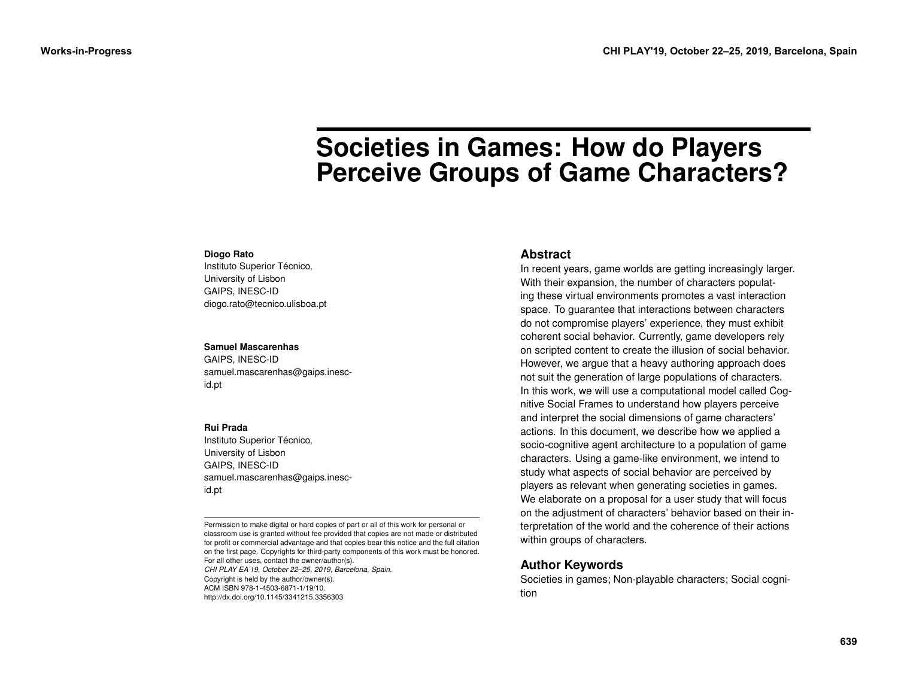# **Societies in Games: How do Players Perceive Groups of Game Characters?**

#### **Diogo Rato**

Instituto Superior Técnico, University of Lisbon GAIPS, INESC-ID diogo.rato@tecnico.ulisboa.pt

#### **Samuel Mascarenhas**

GAIPS, INESC-ID samuel.mascarenhas@gaips.inescid.pt

#### **Rui Prada**

Instituto Superior Técnico, University of Lisbon GAIPS, INESC-ID samuel.mascarenhas@gaips.inescid.pt

Permission to make digital or hard copies of part or all of this work for personal or classroom use is granted without fee provided that copies are not made or distributed for profit or commercial advantage and that copies bear this notice and the full citation on the first page. Copyrights for third-party components of this work must be honored. For all other uses, contact the owner/author(s). *CHI PLAY EA'19, October 22–25, 2019, Barcelona, Spain.* Copyright is held by the author/owner(s). ACM ISBN 978-1-4503-6871-1/19/10. http://dx.doi.org/10.1145/3341215.3356303

#### **Abstract**

In recent years, game worlds are getting increasingly larger. With their expansion, the number of characters populating these virtual environments promotes a vast interaction space. To guarantee that interactions between characters do not compromise players' experience, they must exhibit coherent social behavior. Currently, game developers rely on scripted content to create the illusion of social behavior. However, we argue that a heavy authoring approach does not suit the generation of large populations of characters. In this work, we will use a computational model called Cognitive Social Frames to understand how players perceive and interpret the social dimensions of game characters' actions. In this document, we describe how we applied a socio-cognitive agent architecture to a population of game characters. Using a game-like environment, we intend to study what aspects of social behavior are perceived by players as relevant when generating societies in games. We elaborate on a proposal for a user study that will focus on the adjustment of characters' behavior based on their interpretation of the world and the coherence of their actions within groups of characters.

# **Author Keywords**

Societies in games; Non-playable characters; Social cognition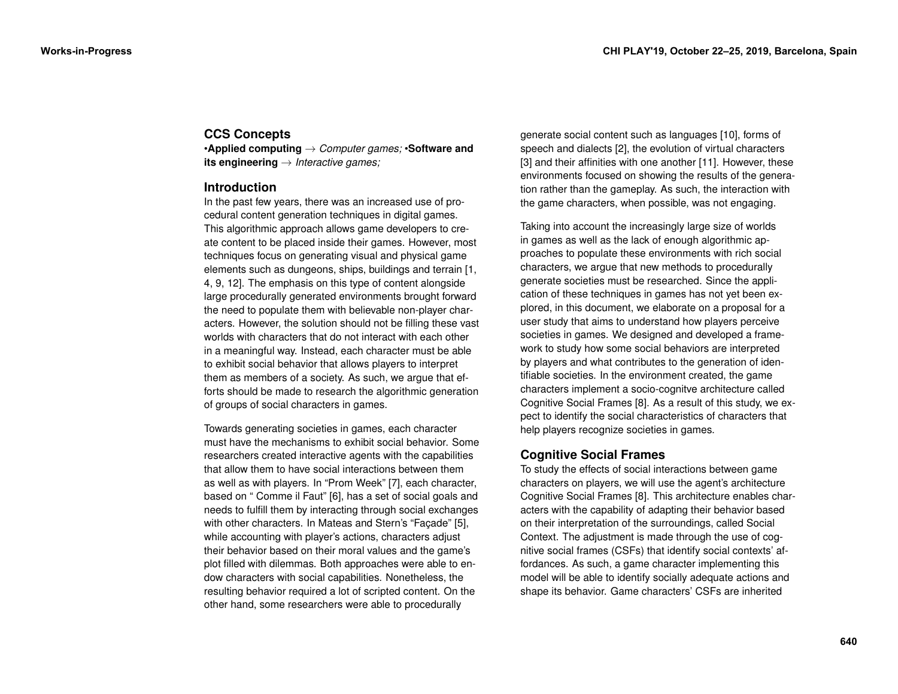# **CCS Concepts**

•**Applied computing** → *Computer games;* •**Software and its engineering** → *Interactive games;*

# **Introduction**

In the past few years, there was an increased use of procedural content generation techniques in digital games. This algorithmic approach allows game developers to create content to be placed inside their games. However, most techniques focus on generating visual and physical game elements such as dungeons, ships, buildings and terrain [\[1,](#page-5-0) [4,](#page-5-1) [9,](#page-5-2) [12\]](#page-5-3). The emphasis on this type of content alongside large procedurally generated environments brought forward the need to populate them with believable non-player characters. However, the solution should not be filling these vast worlds with characters that do not interact with each other in a meaningful way. Instead, each character must be able to exhibit social behavior that allows players to interpret them as members of a society. As such, we argue that efforts should be made to research the algorithmic generation of groups of social characters in games.

Towards generating societies in games, each character must have the mechanisms to exhibit social behavior. Some researchers created interactive agents with the capabilities that allow them to have social interactions between them as well as with players. In "Prom Week" [\[7\]](#page-5-4), each character, based on " Comme il Faut" [\[6\]](#page-5-5), has a set of social goals and needs to fulfill them by interacting through social exchanges with other characters. In Mateas and Stern's "Façade" [\[5\]](#page-5-6), while accounting with player's actions, characters adjust their behavior based on their moral values and the game's plot filled with dilemmas. Both approaches were able to endow characters with social capabilities. Nonetheless, the resulting behavior required a lot of scripted content. On the other hand, some researchers were able to procedurally

generate social content such as languages [\[10\]](#page-5-7), forms of speech and dialects [\[2\]](#page-5-8), the evolution of virtual characters [\[3\]](#page-5-9) and their affinities with one another [\[11\]](#page-5-10). However, these environments focused on showing the results of the generation rather than the gameplay. As such, the interaction with the game characters, when possible, was not engaging.

Taking into account the increasingly large size of worlds in games as well as the lack of enough algorithmic approaches to populate these environments with rich social characters, we argue that new methods to procedurally generate societies must be researched. Since the application of these techniques in games has not yet been explored, in this document, we elaborate on a proposal for a user study that aims to understand how players perceive societies in games. We designed and developed a framework to study how some social behaviors are interpreted by players and what contributes to the generation of identifiable societies. In the environment created, the game characters implement a socio-cognitve architecture called Cognitive Social Frames [\[8\]](#page-5-11). As a result of this study, we expect to identify the social characteristics of characters that help players recognize societies in games.

# **Cognitive Social Frames**

To study the effects of social interactions between game characters on players, we will use the agent's architecture Cognitive Social Frames [\[8\]](#page-5-11). This architecture enables characters with the capability of adapting their behavior based on their interpretation of the surroundings, called Social Context. The adjustment is made through the use of cognitive social frames (CSFs) that identify social contexts' affordances. As such, a game character implementing this model will be able to identify socially adequate actions and shape its behavior. Game characters' CSFs are inherited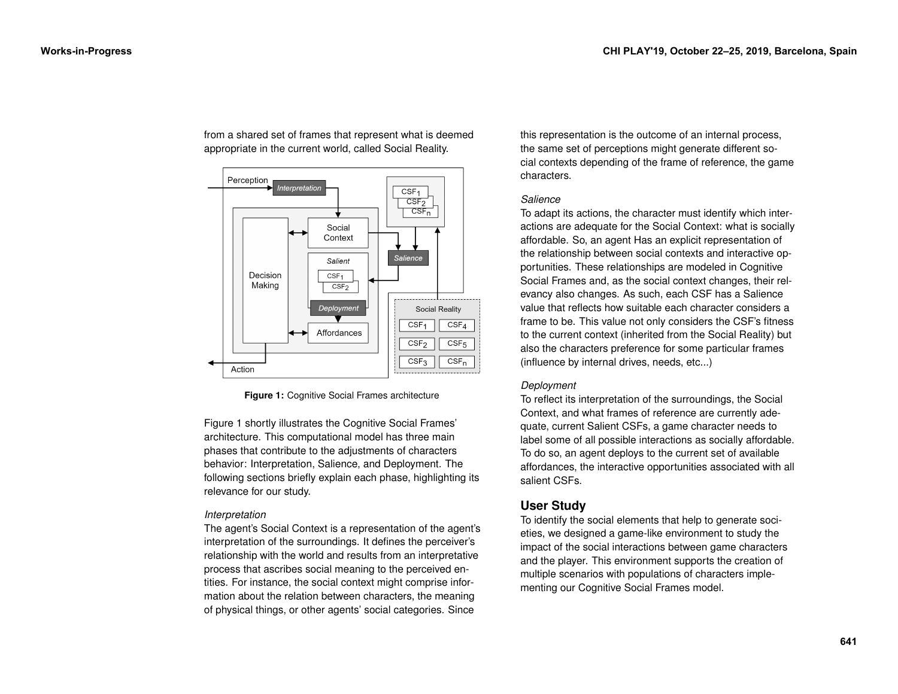<span id="page-2-0"></span>

from a shared set of frames that represent what is deemed appropriate in the current world, called Social Reality.

**Figure 1:** Cognitive Social Frames architecture

Figure [1](#page-2-0) shortly illustrates the Cognitive Social Frames' architecture. This computational model has three main phases that contribute to the adjustments of characters behavior: Interpretation, Salience, and Deployment. The following sections briefly explain each phase, highlighting its relevance for our study.

### *Interpretation*

The agent's Social Context is a representation of the agent's interpretation of the surroundings. It defines the perceiver's relationship with the world and results from an interpretative process that ascribes social meaning to the perceived entities. For instance, the social context might comprise information about the relation between characters, the meaning of physical things, or other agents' social categories. Since

this representation is the outcome of an internal process, the same set of perceptions might generate different social contexts depending of the frame of reference, the game characters.

#### *Salience*

To adapt its actions, the character must identify which interactions are adequate for the Social Context: what is socially affordable. So, an agent Has an explicit representation of the relationship between social contexts and interactive opportunities. These relationships are modeled in Cognitive Social Frames and, as the social context changes, their relevancy also changes. As such, each CSF has a Salience value that reflects how suitable each character considers a frame to be. This value not only considers the CSF's fitness to the current context (inherited from the Social Reality) but also the characters preference for some particular frames (influence by internal drives, needs, etc...)

### *Deployment*

To reflect its interpretation of the surroundings, the Social Context, and what frames of reference are currently adequate, current Salient CSFs, a game character needs to label some of all possible interactions as socially affordable. To do so, an agent deploys to the current set of available affordances, the interactive opportunities associated with all salient CSFs.

# **User Study**

To identify the social elements that help to generate societies, we designed a game-like environment to study the impact of the social interactions between game characters and the player. This environment supports the creation of multiple scenarios with populations of characters implementing our Cognitive Social Frames model.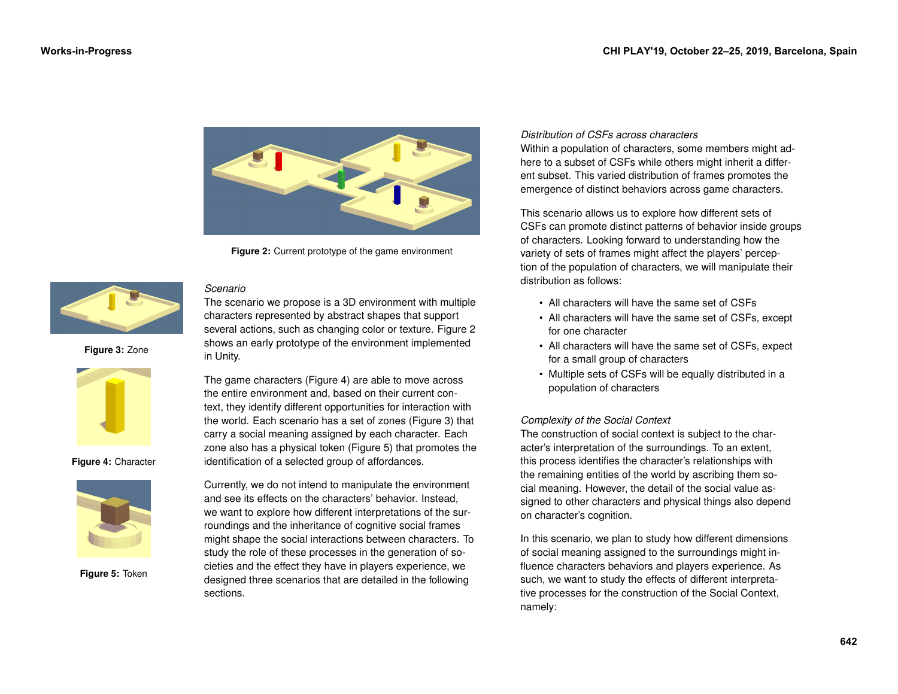<span id="page-3-0"></span>

**Figure 2:** Current prototype of the game environment

*Scenario*

<span id="page-3-2"></span>**Figure 3:** Zone **in Unity.** 



**Figure 4:** Character

<span id="page-3-3"></span><span id="page-3-1"></span>

**Figure 5:** Token

The scenario we propose is a 3D environment with multiple characters represented by abstract shapes that support several actions, such as changing color or texture. Figure [2](#page-3-0) shows an early prototype of the environment implemented

The game characters (Figure [4\)](#page-3-1) are able to move across the entire environment and, based on their current context, they identify different opportunities for interaction with the world. Each scenario has a set of zones (Figure [3\)](#page-3-2) that carry a social meaning assigned by each character. Each zone also has a physical token (Figure [5\)](#page-3-3) that promotes the identification of a selected group of affordances.

Currently, we do not intend to manipulate the environment and see its effects on the characters' behavior. Instead, we want to explore how different interpretations of the surroundings and the inheritance of cognitive social frames might shape the social interactions between characters. To study the role of these processes in the generation of societies and the effect they have in players experience, we designed three scenarios that are detailed in the following sections.

#### *Distribution of CSFs across characters*

Within a population of characters, some members might adhere to a subset of CSFs while others might inherit a different subset. This varied distribution of frames promotes the emergence of distinct behaviors across game characters.

This scenario allows us to explore how different sets of CSFs can promote distinct patterns of behavior inside groups of characters. Looking forward to understanding how the variety of sets of frames might affect the players' perception of the population of characters, we will manipulate their distribution as follows:

- All characters will have the same set of CSFs
- All characters will have the same set of CSFs, except for one character
- All characters will have the same set of CSFs, expect for a small group of characters
- Multiple sets of CSFs will be equally distributed in a population of characters

# *Complexity of the Social Context*

The construction of social context is subject to the character's interpretation of the surroundings. To an extent, this process identifies the character's relationships with the remaining entities of the world by ascribing them social meaning. However, the detail of the social value assigned to other characters and physical things also depend on character's cognition.

In this scenario, we plan to study how different dimensions of social meaning assigned to the surroundings might influence characters behaviors and players experience. As such, we want to study the effects of different interpretative processes for the construction of the Social Context, namely: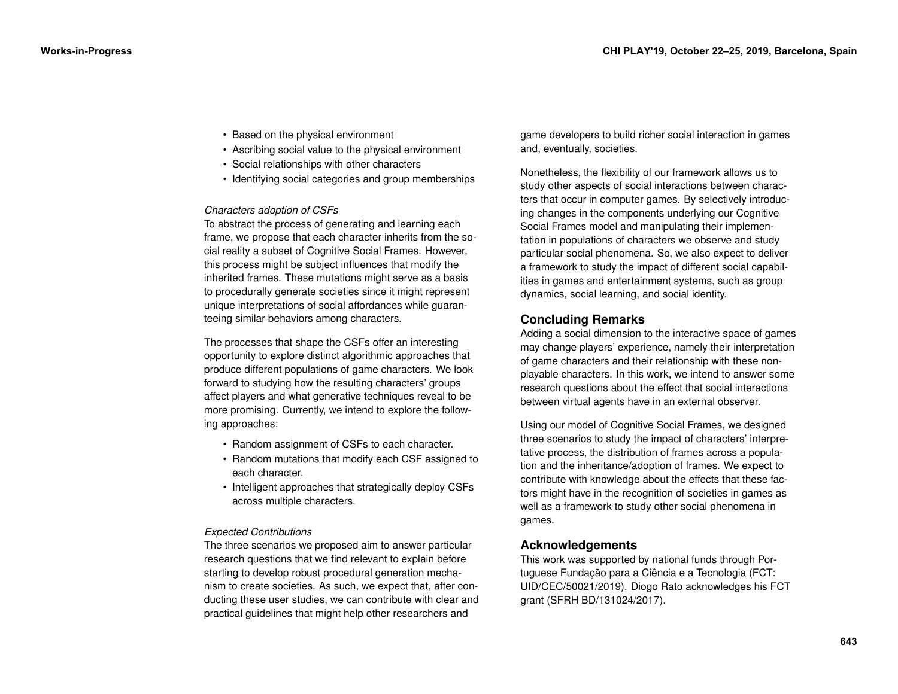- Based on the physical environment
- Ascribing social value to the physical environment
- Social relationships with other characters
- Identifying social categories and group memberships

#### *Characters adoption of CSFs*

To abstract the process of generating and learning each frame, we propose that each character inherits from the social reality a subset of Cognitive Social Frames. However, this process might be subject influences that modify the inherited frames. These mutations might serve as a basis to procedurally generate societies since it might represent unique interpretations of social affordances while guaranteeing similar behaviors among characters.

The processes that shape the CSFs offer an interesting opportunity to explore distinct algorithmic approaches that produce different populations of game characters. We look forward to studying how the resulting characters' groups affect players and what generative techniques reveal to be more promising. Currently, we intend to explore the following approaches:

- Random assignment of CSFs to each character.
- Random mutations that modify each CSF assigned to each character.
- Intelligent approaches that strategically deploy CSFs across multiple characters.

### *Expected Contributions*

The three scenarios we proposed aim to answer particular research questions that we find relevant to explain before starting to develop robust procedural generation mechanism to create societies. As such, we expect that, after conducting these user studies, we can contribute with clear and practical guidelines that might help other researchers and

game developers to build richer social interaction in games and, eventually, societies.

Nonetheless, the flexibility of our framework allows us to study other aspects of social interactions between characters that occur in computer games. By selectively introducing changes in the components underlying our Cognitive Social Frames model and manipulating their implementation in populations of characters we observe and study particular social phenomena. So, we also expect to deliver a framework to study the impact of different social capabilities in games and entertainment systems, such as group dynamics, social learning, and social identity.

# **Concluding Remarks**

Adding a social dimension to the interactive space of games may change players' experience, namely their interpretation of game characters and their relationship with these nonplayable characters. In this work, we intend to answer some research questions about the effect that social interactions between virtual agents have in an external observer.

Using our model of Cognitive Social Frames, we designed three scenarios to study the impact of characters' interpretative process, the distribution of frames across a population and the inheritance/adoption of frames. We expect to contribute with knowledge about the effects that these factors might have in the recognition of societies in games as well as a framework to study other social phenomena in games.

# **Acknowledgements**

This work was supported by national funds through Portuguese Fundação para a Ciência e a Tecnologia (FCT: UID/CEC/50021/2019). Diogo Rato acknowledges his FCT grant (SFRH BD/131024/2017).